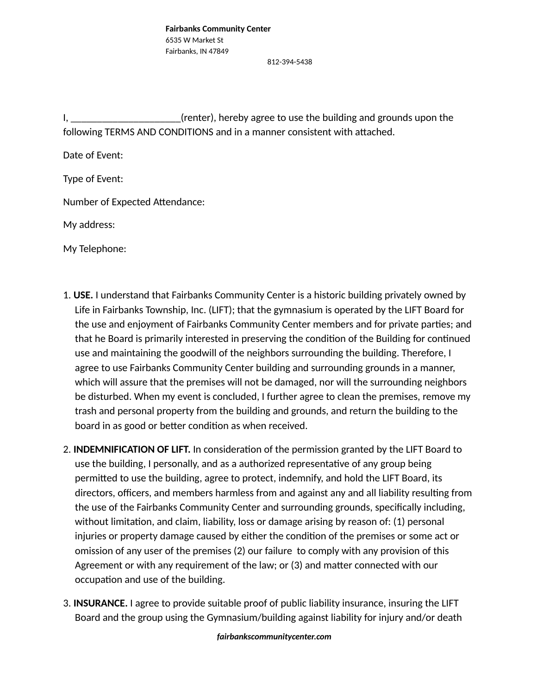812-394-5438

I, the same of the conternal (renter), hereby agree to use the building and grounds upon the following TERMS AND CONDITIONS and in a manner consistent with attached.

Date of Event:

Type of Event:

Number of Expected Attendance:

My address:

My Telephone:

- 1. **USE.** I understand that Fairbanks Community Center is a historic building privately owned by Life in Fairbanks Township, Inc. (LIFT); that the gymnasium is operated by the LIFT Board for the use and enjoyment of Fairbanks Community Center members and for private parties; and that he Board is primarily interested in preserving the condition of the Building for continued use and maintaining the goodwill of the neighbors surrounding the building. Therefore, I agree to use Fairbanks Community Center building and surrounding grounds in a manner, which will assure that the premises will not be damaged, nor will the surrounding neighbors be disturbed. When my event is concluded, I further agree to clean the premises, remove my trash and personal property from the building and grounds, and return the building to the board in as good or better condition as when received.
- 2. **INDEMNIFICATION OF LIFT.** In consideration of the permission granted by the LIFT Board to use the building, I personally, and as a authorized representative of any group being permitted to use the building, agree to protect, indemnify, and hold the LIFT Board, its directors, officers, and members harmless from and against any and all liability resulting from the use of the Fairbanks Community Center and surrounding grounds, specifically including, without limitation, and claim, liability, loss or damage arising by reason of: (1) personal injuries or property damage caused by either the condition of the premises or some act or omission of any user of the premises (2) our failure to comply with any provision of this Agreement or with any requirement of the law; or (3) and matter connected with our occupation and use of the building.
- 3. **INSURANCE.** I agree to provide suitable proof of public liability insurance, insuring the LIFT Board and the group using the Gymnasium/building against liability for injury and/or death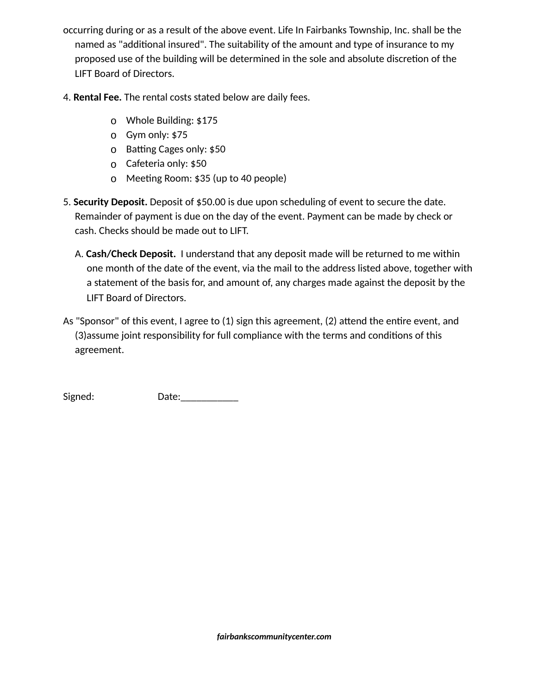- occurring during or as a result of the above event. Life In Fairbanks Township, Inc. shall be the named as "additional insured". The suitability of the amount and type of insurance to my proposed use of the building will be determined in the sole and absolute discretion of the LIFT Board of Directors.
- 4. **Rental Fee.** The rental costs stated below are daily fees.
	- o Whole Building: \$175
	- o Gym only: \$75
	- o Batting Cages only: \$50
	- o Cafeteria only: \$50
	- o Meeting Room: \$35 (up to 40 people)
- 5. **Security Deposit.** Deposit of \$50.00 is due upon scheduling of event to secure the date. Remainder of payment is due on the day of the event. Payment can be made by check or cash. Checks should be made out to LIFT.
	- A. **Cash/Check Deposit.** I understand that any deposit made will be returned to me within one month of the date of the event, via the mail to the address listed above, together with a statement of the basis for, and amount of, any charges made against the deposit by the LIFT Board of Directors.
- As "Sponsor" of this event, I agree to (1) sign this agreement, (2) attend the entire event, and (3)assume joint responsibility for full compliance with the terms and conditions of this agreement.

Signed: Date:\_\_\_\_\_\_\_\_\_\_\_